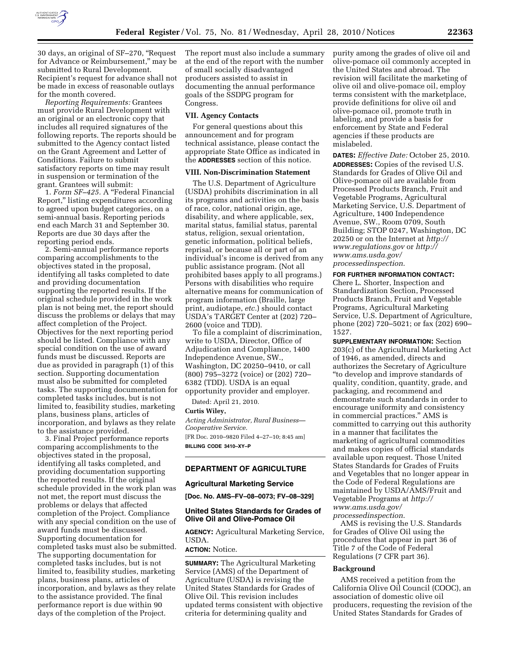

30 days, an original of SF–270, ''Request for Advance or Reimbursement,'' may be submitted to Rural Development. Recipient's request for advance shall not be made in excess of reasonable outlays for the month covered.

*Reporting Requirements:* Grantees must provide Rural Development with an original or an electronic copy that includes all required signatures of the following reports. The reports should be submitted to the Agency contact listed on the Grant Agreement and Letter of Conditions. Failure to submit satisfactory reports on time may result in suspension or termination of the grant. Grantees will submit:

1. *Form SF–425.* A ''Federal Financial Report,'' listing expenditures according to agreed upon budget categories, on a semi-annual basis. Reporting periods end each March 31 and September 30. Reports are due 30 days after the reporting period ends.

2. Semi-annual performance reports comparing accomplishments to the objectives stated in the proposal, identifying all tasks completed to date and providing documentation supporting the reported results. If the original schedule provided in the work plan is not being met, the report should discuss the problems or delays that may affect completion of the Project. Objectives for the next reporting period should be listed. Compliance with any special condition on the use of award funds must be discussed. Reports are due as provided in paragraph (1) of this section. Supporting documentation must also be submitted for completed tasks. The supporting documentation for completed tasks includes, but is not limited to, feasibility studies, marketing plans, business plans, articles of incorporation, and bylaws as they relate to the assistance provided.

3. Final Project performance reports comparing accomplishments to the objectives stated in the proposal, identifying all tasks completed, and providing documentation supporting the reported results. If the original schedule provided in the work plan was not met, the report must discuss the problems or delays that affected completion of the Project. Compliance with any special condition on the use of award funds must be discussed. Supporting documentation for completed tasks must also be submitted. The supporting documentation for completed tasks includes, but is not limited to, feasibility studies, marketing plans, business plans, articles of incorporation, and bylaws as they relate to the assistance provided. The final performance report is due within 90 days of the completion of the Project.

The report must also include a summary at the end of the report with the number of small socially disadvantaged producers assisted to assist in documenting the annual performance goals of the SSDPG program for Congress.

### **VII. Agency Contacts**

For general questions about this announcement and for program technical assistance, please contact the appropriate State Office as indicated in the **ADDRESSES** section of this notice.

### **VIII. Non-Discrimination Statement**

The U.S. Department of Agriculture (USDA) prohibits discrimination in all its programs and activities on the basis of race, color, national origin, age, disability, and where applicable, sex, marital status, familial status, parental status, religion, sexual orientation, genetic information, political beliefs, reprisal, or because all or part of an individual's income is derived from any public assistance program. (Not all prohibited bases apply to all programs.) Persons with disabilities who require alternative means for communication of program information (Braille, large print, audiotape, *etc.*) should contact USDA's TARGET Center at (202) 720– 2600 (voice and TDD).

To file a complaint of discrimination, write to USDA, Director, Office of Adjudication and Compliance, 1400 Independence Avenue, SW., Washington, DC 20250–9410, or call (800) 795–3272 (voice) or (202) 720– 6382 (TDD). USDA is an equal opportunity provider and employer.

Dated: April 21, 2010.

## **Curtis Wiley,**

*Acting Administrator, Rural Business— Cooperative Service.*  [FR Doc. 2010–9820 Filed 4–27–10; 8:45 am]

**BILLING CODE 3410–XY–P** 

# **DEPARTMENT OF AGRICULTURE**

### **Agricultural Marketing Service**

**[Doc. No. AMS–FV–08–0073; FV–08–329]** 

## **United States Standards for Grades of Olive Oil and Olive-Pomace Oil**

**AGENCY:** Agricultural Marketing Service, USDA.

# **ACTION:** Notice.

**SUMMARY:** The Agricultural Marketing Service (AMS) of the Department of Agriculture (USDA) is revising the United States Standards for Grades of Olive Oil. This revision includes updated terms consistent with objective criteria for determining quality and

purity among the grades of olive oil and olive-pomace oil commonly accepted in the United States and abroad. The revision will facilitate the marketing of olive oil and olive-pomace oil, employ terms consistent with the marketplace, provide definitions for olive oil and olive-pomace oil, promote truth in labeling, and provide a basis for enforcement by State and Federal agencies if these products are mislabeled.

**DATES:** *Effective Date:* October 25, 2010. **ADDRESSES:** Copies of the revised U.S. Standards for Grades of Olive Oil and Olive-pomace oil are available from Processed Products Branch, Fruit and Vegetable Programs, Agricultural Marketing Service, U.S. Department of Agriculture, 1400 Independence Avenue, SW., Room 0709, South Building; STOP 0247, Washington, DC 20250 or on the Internet at *http:// www.regulations.gov* or *http:// www.ams.usda.gov/ processedinspection*.

#### **FOR FURTHER INFORMATION CONTACT:**

Chere L. Shorter, Inspection and Standardization Section, Processed Products Branch, Fruit and Vegetable Programs, Agricultural Marketing Service, U.S. Department of Agriculture, phone (202) 720–5021; or fax (202) 690– 1527.

**SUPPLEMENTARY INFORMATION:** Section 203(c) of the Agricultural Marketing Act of 1946, as amended, directs and authorizes the Secretary of Agriculture ''to develop and improve standards of quality, condition, quantity, grade, and packaging, and recommend and demonstrate such standards in order to encourage uniformity and consistency in commercial practices.'' AMS is committed to carrying out this authority in a manner that facilitates the marketing of agricultural commodities and makes copies of official standards available upon request. Those United States Standards for Grades of Fruits and Vegetables that no longer appear in the Code of Federal Regulations are maintained by USDA/AMS/Fruit and Vegetable Programs at *http:// www.ams.usda.gov/ processedinspection*.

AMS is revising the U.S. Standards for Grades of Olive Oil using the procedures that appear in part 36 of Title 7 of the Code of Federal Regulations (7 CFR part 36).

### **Background**

AMS received a petition from the California Olive Oil Council (COOC), an association of domestic olive oil producers, requesting the revision of the United States Standards for Grades of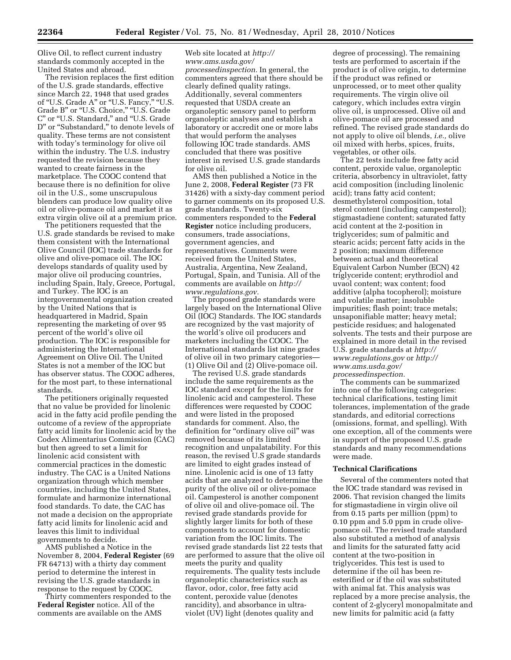Olive Oil, to reflect current industry standards commonly accepted in the United States and abroad.

The revision replaces the first edition of the U.S. grade standards, effective since March 22, 1948 that used grades of "U.S. Grade A" or "U.S. Fancy," "U.S. Grade B" or "U.S. Choice," "U.S. Grade C'' or ''U.S. Standard,'' and ''U.S. Grade D" or "Substandard," to denote levels of quality. These terms are not consistent with today's terminology for olive oil within the industry. The U.S. industry requested the revision because they wanted to create fairness in the marketplace. The COOC contend that because there is no definition for olive oil in the U.S., some unscrupulous blenders can produce low quality olive oil or olive-pomace oil and market it as extra virgin olive oil at a premium price.

The petitioners requested that the U.S. grade standards be revised to make them consistent with the International Olive Council (IOC) trade standards for olive and olive-pomace oil. The IOC develops standards of quality used by major olive oil producing countries, including Spain, Italy, Greece, Portugal, and Turkey. The IOC is an intergovernmental organization created by the United Nations that is headquartered in Madrid, Spain representing the marketing of over 95 percent of the world's olive oil production. The IOC is responsible for administering the International Agreement on Olive Oil. The United States is not a member of the IOC but has observer status. The COOC adheres, for the most part, to these international standards.

The petitioners originally requested that no value be provided for linolenic acid in the fatty acid profile pending the outcome of a review of the appropriate fatty acid limits for linolenic acid by the Codex Alimentarius Commission (CAC) but then agreed to set a limit for linolenic acid consistent with commercial practices in the domestic industry. The CAC is a United Nations organization through which member countries, including the United States, formulate and harmonize international food standards. To date, the CAC has not made a decision on the appropriate fatty acid limits for linolenic acid and leaves this limit to individual governments to decide.

AMS published a Notice in the November 8, 2004, **Federal Register** (69 FR 64713) with a thirty day comment period to determine the interest in revising the U.S. grade standards in response to the request by COOC.

Thirty commenters responded to the **Federal Register** notice. All of the comments are available on the AMS

Web site located at *http:// www.ams.usda.gov/ processedinspection.* In general, the commenters agreed that there should be clearly defined quality ratings. Additionally, several commenters requested that USDA create an organoleptic sensory panel to perform organoleptic analyses and establish a laboratory or accredit one or more labs that would perform the analyses following IOC trade standards. AMS concluded that there was positive interest in revised U.S. grade standards for olive oil.

AMS then published a Notice in the June 2, 2008, **Federal Register** (73 FR 31426) with a sixty-day comment period to garner comments on its proposed U.S. grade standards. Twenty-six commenters responded to the **Federal Register** notice including producers, consumers, trade associations, government agencies, and representatives. Comments were received from the United States, Australia, Argentina, New Zealand, Portugal, Spain, and Tunisia. All of the comments are available on *http:// www.regulations.gov.* 

The proposed grade standards were largely based on the International Olive Oil (IOC) Standards. The IOC standards are recognized by the vast majority of the world's olive oil producers and marketers including the COOC. The International standards list nine grades of olive oil in two primary categories— (1) Olive Oil and (2) Olive-pomace oil.

The revised U.S. grade standards include the same requirements as the IOC standard except for the limits for linolenic acid and campesterol. These differences were requested by COOC and were listed in the proposed standards for comment. Also, the definition for "ordinary olive oil" was removed because of its limited recognition and unpalatability. For this reason, the revised U.S grade standards are limited to eight grades instead of nine. Linolenic acid is one of 13 fatty acids that are analyzed to determine the purity of the olive oil or olive-pomace oil. Campesterol is another component of olive oil and olive-pomace oil. The revised grade standards provide for slightly larger limits for both of these components to account for domestic variation from the IOC limits. The revised grade standards list 22 tests that are performed to assure that the olive oil meets the purity and quality requirements. The quality tests include organoleptic characteristics such as flavor, odor, color, free fatty acid content, peroxide value (denotes rancidity), and absorbance in ultraviolet (UV) light (denotes quality and

degree of processing). The remaining tests are performed to ascertain if the product is of olive origin, to determine if the product was refined or unprocessed, or to meet other quality requirements. The virgin olive oil category, which includes extra virgin olive oil, is unprocessed. Olive oil and olive-pomace oil are processed and refined. The revised grade standards do not apply to olive oil blends, *i.e.,* olive oil mixed with herbs, spices, fruits, vegetables, or other oils.

The 22 tests include free fatty acid content, peroxide value, organoleptic criteria, absorbency in ultraviolet, fatty acid composition (including linolenic acid); trans fatty acid content; desmethylsterol composition, total sterol content (including campesterol); stigmastadiene content; saturated fatty acid content at the 2-position in triglycerides; sum of palmitic and stearic acids; percent fatty acids in the 2 position; maximum difference between actual and theoretical Equivalent Carbon Number (ECN) 42 triglyceride content; erythrodiol and uvaol content; wax content; food additive (alpha tocopherol); moisture and volatile matter; insoluble impurities; flash point; trace metals; unsaponifiable matter; heavy metal; pesticide residues; and halogenated solvents. The tests and their purpose are explained in more detail in the revised U.S. grade standards at *http:// www.regulations.gov* or *http:// www.ams.usda.gov/ processedinspection.* 

The comments can be summarized into one of the following categories: technical clarifications, testing limit tolerances, implementation of the grade standards, and editorial corrections (omissions, format, and spelling). With one exception, all of the comments were in support of the proposed U.S. grade standards and many recommendations were made.

## **Technical Clarifications**

Several of the commenters noted that the IOC trade standard was revised in 2006. That revision changed the limits for stigmastadiene in virgin olive oil from 0.15 parts per million (ppm) to 0.10 ppm and 5.0 ppm in crude olivepomace oil. The revised trade standard also substituted a method of analysis and limits for the saturated fatty acid content at the two-position in triglycerides. This test is used to determine if the oil has been reesterified or if the oil was substituted with animal fat. This analysis was replaced by a more precise analysis, the content of 2-glyceryl monopalmitate and new limits for palmitic acid (a fatty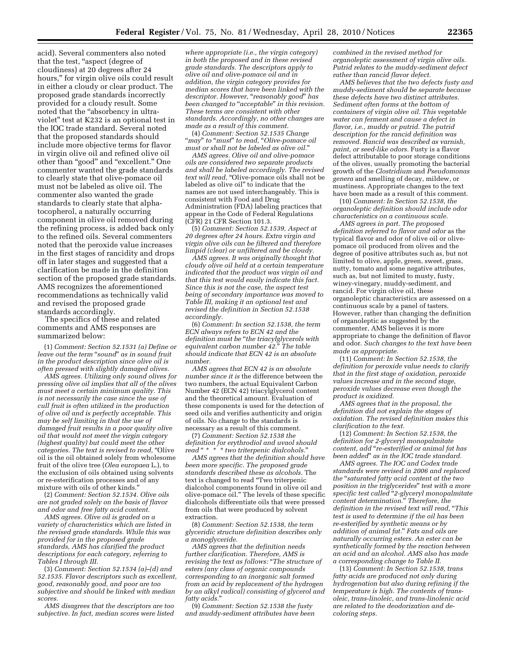acid). Several commenters also noted that the test, ''aspect (degree of cloudiness) at 20 degrees after 24 hours,'' for virgin olive oils could result in either a cloudy or clear product. The proposed grade standards incorrectly provided for a cloudy result. Some noted that the ''absorbency in ultraviolet'' test at K232 is an optional test in the IOC trade standard. Several noted that the proposed standards should include more objective terms for flavor in virgin olive oil and refined olive oil other than ''good'' and ''excellent.'' One commenter wanted the grade standards to clearly state that olive-pomace oil must not be labeled as olive oil. The commenter also wanted the grade standards to clearly state that alphatocopherol, a naturally occurring component in olive oil removed during the refining process, is added back only to the refined oils. Several commenters noted that the peroxide value increases in the first stages of rancidity and drops off in later stages and suggested that a clarification be made in the definition section of the proposed grade standards. AMS recognizes the aforementioned recommendations as technically valid and revised the proposed grade standards accordingly.

The specifics of these and related comments and AMS responses are summarized below:

(1) *Comment: Section 52.1531 (a) Define or leave out the term* ''*sound*'' *as in sound fruit in the product description since olive oil is often pressed with slightly damaged olives.* 

*AMS agrees. Utilizing only sound olives for pressing olive oil implies that all of the olives must meet a certain minimum quality. This is not necessarily the case since the use of cull fruit is often utilized in the production of olive oil and is perfectly acceptable. This may be self limiting in that the use of damaged fruit results in a poor quality olive oil that would not meet the virgin category (highest quality) but could meet the other categories. The text is revised to read,* ''Olive oil is the oil obtained solely from wholesome fruit of the olive tree (*Olea europaea* L.), to the exclusion of oils obtained using solvents or re-esterification processes and of any mixture with oils of other kinds.''

(2) *Comment: Section 52.1534. Olive oils are not graded solely on the basis of flavor and odor and free fatty acid content.* 

*AMS agrees. Olive oil is graded on a variety of characteristics which are listed in the revised grade standards. While this was provided for in the proposed grade standards, AMS has clarified the product descriptions for each category, referring to Tables I through III.* 

(3) *Comment: Section 52.1534 (a)–(d) and 52.1535. Flavor descriptors such as excellent, good, reasonably good, and poor are too subjective and should be linked with median scores.* 

*AMS disagrees that the descriptors are too subjective. In fact, median scores were listed* 

*where appropriate (i.e., the virgin category) in both the proposed and in these revised grade standards. The descriptors apply to olive oil and olive-pomace oil and in addition, the virgin category provides for median scores that have been linked with the descriptor. However,* ''*reasonably good*'' *has been changed to* ''*acceptable*'' *in this revision. These terms are consistent with other standards. Accordingly, no other changes are made as a result of this comment.* 

(4) *Comment: Section 52.1535 Change*  "may" to "must" to read, "Olive-pomace oil *must or shall not be labeled as olive oil.*''

*AMS agrees. Olive oil and olive-pomace oils are considered two separate products and shall be labeled accordingly. The revised*  text will read, "Olive-pomace oils shall not be labeled as olive oil" to indicate that the names are not used interchangeably. This is consistent with Food and Drug Administration (FDA) labeling practices that appear in the Code of Federal Regulations (CFR) 21 CFR Section 101.3.

(5) *Comment: Section 52.1539, Aspect at 20 degrees after 24 hours. Extra virgin and virgin olive oils can be filtered and therefore limpid (clear) or unfiltered and be cloudy.* 

*AMS agrees. It was originally thought that cloudy olive oil held at a certain temperature indicated that the product was virgin oil and that this test would easily indicate this fact. Since this is not the case, the aspect test being of secondary importance was moved to Table III, making it an optional test and revised the definition in Section 52.1538 accordingly.* 

(6) *Comment: In section 52.1538, the term ECN always refers to ECN 42 and the definition must be* ''*the triacylglycerols with equivalent carbon number 42.*'' *The table should indicate that ECN 42 is an absolute number.* 

*AMS agrees that ECN 42 is an absolute number since it is* the difference between the two numbers, the actual Equivalent Carbon Number 42 (ECN 42) triacylglycerol content and the theoretical amount. Evaluation of these components is used for the detection of seed oils and verifies authenticity and origin of oils. No change to the standards is necessary as a result of this comment.

(7) *Comment: Section 52.1538 the definition for erythrodiol and uvaol should read* '' *\* \* \* two triterpenic dialcohols.*''

*AMS agrees that the definition should have been more specific. The proposed grade standards described these as alcohols.* The text is changed to read ''Two triterpenic dialcohol components found in olive oil and olive-pomace oil.'' The levels of these specific dialcohols differentiate oils that were pressed from oils that were produced by solvent extraction.

(8) *Comment: Section 52.1538, the term glyceridic structure definition describes only a monoglyceride.* 

*AMS agrees that the definition needs further clarification. Therefore, AMS is revising the text as follows:* ''*The structure of esters (any class of organic compounds corresponding to an inorganic salt formed from an acid by replacement of the hydrogen by an alkyl radical) consisting of glycerol and fatty acids.*''

(9) *Comment: Section 52.1538 the fusty and muddy-sediment attributes have been*  *combined in the revised method for organoleptic assessment of virgin olive oils. Putrid relates to the muddy-sediment defect rather than rancid flavor defect.* 

*AMS believes that the two defects fusty and muddy-sediment should be separate because these defects have two distinct attributes. Sediment often forms at the bottom of containers of virgin olive oil. This vegetable water can ferment and cause a defect in flavor, i.e., muddy or putrid. The putrid description for the rancid definition was removed. Rancid was described as varnish, paint, or seed-like odors.* Fusty is a flavor defect attributable to poor storage conditions of the olives, usually promoting the bacterial growth of the *Clostridium* and *Pseudomonas genera* and smelling of decay, mildew, or mustiness. Appropriate changes to the text have been made as a result of this comment.

(10) *Comment: In Section 52.1538, the organoleptic definition should include odor characteristics on a continuous scale.* 

*AMS agrees in part. The proposed definition referred to flavor and odor* as the typical flavor and odor of olive oil or olivepomace oil produced from olives and the degree of positive attributes such as, but not limited to olive, apple, green, sweet, grass, nutty, tomato and some negative attributes, such as, but not limited to musty, fusty, winey-vinegary, muddy-sediment, and rancid. For virgin olive oil, these organoleptic characteristics are assessed on a continuous scale by a panel of tasters. However, rather than changing the definition of organoleptic as suggested by the commenter, AMS believes it is more appropriate to change the definition of flavor and odor. *Such changes to the text have been made as appropriate.* 

(11) *Comment: In Section 52.1538, the definition for peroxide value needs to clarify that in the first stage of oxidation, peroxide values increase and in the second stage, peroxide values decrease even though the product is oxidized.* 

*AMS agrees that in the proposal, the definition did not explain the stages of oxidation. The revised definition makes this clarification to the text.* 

(12) *Comment: In Section 52.1538, the definition for 2-glyceryl monopalmitate content, add* ''*re-esterified or animal fat has been added*'' *as in the IOC trade standard.* 

*AMS agrees. The IOC and Codex trade standards were revised in 2006 and replaced the* ''*saturated fatty acid content at the two position in the triglycerides*'' *test with a more specific test called* ''*2-glyceryl monopalmitate content determination.*'' *Therefore, the definition in the revised text will read,* ''*This test is used to determine if the oil has been re-esterified by synthetic means or by addition of animal fat.*'' *Fats and oils are naturally occurring esters. An ester can be synthetically formed by the reaction between an acid and an alcohol. AMS also has made a corresponding change to Table II.* 

(13) *Comment: In Section 52.1538, trans fatty acids are produced not only during hydrogenation but also during refining if the temperature is high. The contents of transoleic, trans-linoleic, and trans-linolenic acid are related to the deodorization and decoloring steps.*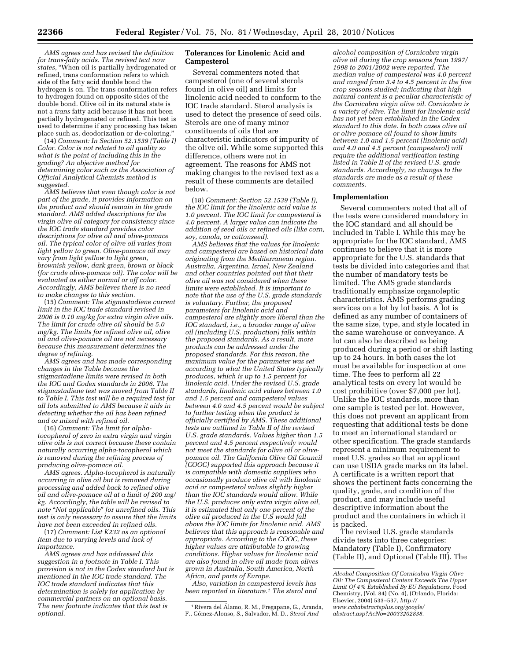*AMS agrees and has revised the definition for trans-fatty acids. The revised text now states,* ''When oil is partially hydrogenated or refined, trans conformation refers to which side of the fatty acid double bond the hydrogen is on. The trans conformation refers to hydrogen found on opposite sides of the double bond. Olive oil in its natural state is not a *trans* fatty acid because it has not been partially hydrogenated or refined. This test is used to determine if any processing has taken place such as, deodorization or de-coloring.''

(14) *Comment: In Section 52.1539 (Table I) Color. Color is not related to oil quality so what is the point of including this in the grading? An objective method for determining color such as the Association of Official Analytical Chemists method is suggested.* 

*AMS believes that even though color is not part of the grade, it provides information on the product and should remain in the grade standard. AMS added descriptions for the virgin olive oil category for consistency since the IOC trade standard provides color descriptions for olive oil and olive-pomace oil. The typical color of olive oil varies from light yellow to green. Olive-pomace oil may vary from light yellow to light green, brownish yellow, dark green, brown or black (for crude olive-pomace oil). The color will be evaluated as either normal or off color. Accordingly, AMS believes there is no need to make changes to this section.* 

(15) *Comment: The stigmastadiene current limit in the IOC trade standard revised in 2006 is 0.10 mg/kg for extra virgin olive oils. The limit for crude olive oil should be 5.0 mg/kg. The limits for refined olive oil, olive oil and olive-pomace oil are not necessary because this measurement determines the degree of refining.* 

*AMS agrees and has made corresponding changes in the Table because the stigmastadiene limits were revised in both the IOC and Codex standards in 2006. The stigmastadiene test was moved from Table II to Table I. This test will be a required test for all lots submitted to AMS because it aids in detecting whether the oil has been refined and or mixed with refined oil.* 

(16) *Comment: The limit for alphatocopherol of zero in extra virgin and virgin olive oils is not correct because these contain naturally occurring alpha-tocopherol which is removed during the refining process of producing olive-pomace oil.* 

*AMS agrees. Alpha-tocopherol is naturally occurring in olive oil but is removed during processing and added back to refined olive oil and olive-pomace oil at a limit of 200 mg/ kg. Accordingly, the table will be revised to note* ''*Not applicable*'' *for unrefined oils. This test is only necessary to assure that the limits have not been exceeded in refined oils.* 

(17) *Comment: List K232 as an optional item due to varying levels and lack of importance.* 

*AMS agrees and has addressed this suggestion in a footnote in Table I. This provision is not in the Codex standard but is mentioned in the IOC trade standard. The IOC trade standard indicates that this determination is solely for application by commercial partners on an optional basis. The new footnote indicates that this test is optional.* 

# **Tolerances for Linolenic Acid and Campesterol**

Several commenters noted that campesterol (one of several sterols found in olive oil) and limits for linolenic acid needed to conform to the IOC trade standard. Sterol analysis is used to detect the presence of seed oils. Sterols are one of many minor constituents of oils that are characteristic indicators of impurity of the olive oil. While some supported this difference, others were not in agreement. The reasons for AMS not making changes to the revised text as a result of these comments are detailed below.

(18) *Comment: Section 52.1539 (Table I), the IOC limit for the linolenic acid value is 1.0 percent. The IOC limit for campesterol is 4.0 percent. A larger value can indicate the addition of seed oils or refined oils (like corn, soy, canola, or cottonseed).* 

*AMS believes that the values for linolenic and campesterol are based on historical data originating from the Mediterranean region. Australia, Argentina, Israel, New Zealand and other countries pointed out that their olive oil was not considered when these limits were established. It is important to note that the use of the U.S. grade standards is voluntary. Further, the proposed parameters for linolenic acid and campesterol are slightly more liberal than the IOC standard, i.e., a broader range of olive oil (including U.S. production) falls within the proposed standards. As a result, more products can be addressed under the proposed standards. For this reason, the maximum value for the parameter was set according to what the United States typically produces, which is up to 1.5 percent for linolenic acid. Under the revised U.S. grade standards, linolenic acid values between 1.0 and 1.5 percent and campesterol values between 4.0 and 4.5 percent would be subject to further testing when the product is officially certified by AMS. These additional tests are outlined in Table II of the revised U.S. grade standards. Values higher than 1.5 percent and 4.5 percent respectively would not meet the standards for olive oil or olivepomace oil. The California Olive Oil Council (COOC) supported this approach because it is compatible with domestic suppliers who occasionally produce olive oil with linolenic acid or campesterol values slightly higher than the IOC standards would allow. While the U.S. produces only extra virgin olive oil, it is estimated that only one percent of the olive oil produced in the U.S would fall above the IOC limits for linolenic acid. AMS believes that this approach is reasonable and appropriate. According to the COOC, these higher values are attributable to growing conditions. Higher values for linolenic acid are also found in olive oil made from olives grown in Australia, South America, North Africa, and parts of Europe.* 

*Also, variation in campesterol levels has been reported in literature.1 The sterol and* 

*alcohol composition of Cornicabra virgin olive oil during the crop seasons from 1997/ 1998 to 2001/2002 were reported. The median value of campesterol was 4.0 percent and ranged from 3.4 to 4.5 percent in the five crop seasons studied; indicating that high natural content is a peculiar characteristic of the Cornicabra virgin olive oil. Cornicabra is a variety of olive. The limit for linolenic acid has not yet been established in the Codex standard to this date. In both cases olive oil or olive-pomace oil found to show limits between 1.0 and 1.5 percent (linolenic acid) and 4.0 and 4.5 percent (campesterol) will require the additional verification testing listed in Table II of the revised U.S. grade standards. Accordingly, no changes to the standards are made as a result of these comments.* 

### **Implementation**

Several commenters noted that all of the tests were considered mandatory in the IOC standard and all should be included in Table I. While this may be appropriate for the IOC standard, AMS continues to believe that it is more appropriate for the U.S. standards that tests be divided into categories and that the number of mandatory tests be limited. The AMS grade standards traditionally emphasize organoleptic characteristics. AMS performs grading services on a lot by lot basis. A lot is defined as any number of containers of the same size, type, and style located in the same warehouse or conveyance. A lot can also be described as being produced during a period or shift lasting up to 24 hours. In both cases the lot must be available for inspection at one time. The fees to perform all 22 analytical tests on every lot would be cost prohibitive (over \$7,000 per lot). Unlike the IOC standards, more than one sample is tested per lot. However, this does not prevent an applicant from requesting that additional tests be done to meet an international standard or other specification. The grade standards represent a minimum requirement to meet U.S. grades so that an applicant can use USDA grade marks on its label. A certificate is a written report that shows the pertinent facts concerning the quality, grade, and condition of the product, and may include useful descriptive information about the product and the containers in which it is packed.

The revised U.S. grade standards divide tests into three categories: Mandatory (Table I), Confirmatory (Table II), and Optional (Table III). The

<sup>&</sup>lt;sup>1</sup> Rivera del Álamo, R. M., Fregapane, G., Aranda, F., Go´mez-Alonso, S., Salvador, M. D., *Sterol And* 

*Alcohol Composition Of Cornicabra Virgin Olive Oil: The Campesterol Content Exceeds The Upper Limit Of 4% Established By EU Regulations,* Food Chemistry, (Vol. 84) (No. 4), (Orlando, Florida: Elsevier, 2004) 533–537, *http:// www.cababstractsplus.org/google/ abstract.asp?AcNo=20033202838.*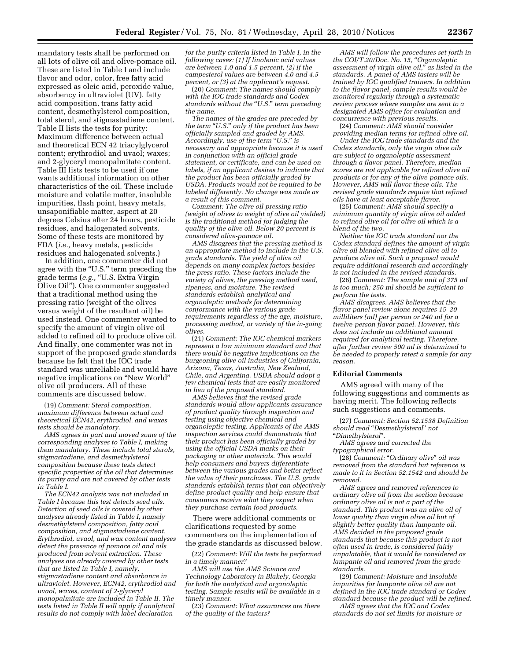mandatory tests shall be performed on all lots of olive oil and olive-pomace oil. These are listed in Table I and include flavor and odor, color, free fatty acid expressed as oleic acid, peroxide value, absorbency in ultraviolet (UV), fatty acid composition, trans fatty acid content, desmethylsterol composition, total sterol, and stigmastadiene content. Table II lists the tests for purity: Maximum difference between actual and theoretical ECN 42 triacylglycerol content; erythrodiol and uvaol; waxes; and 2-glyceryl monopalmitate content. Table III lists tests to be used if one wants additional information on other characteristics of the oil. These include moisture and volatile matter, insoluble impurities, flash point, heavy metals, unsaponifiable matter, aspect at 20 degrees Celsius after 24 hours, pesticide residues, and halogenated solvents. Some of these tests are monitored by FDA (*i.e.,* heavy metals, pesticide residues and halogenated solvents.)

In addition, one commenter did not agree with the "U.S." term preceding the grade terms (e.g., "U.S. Extra Virgin Olive Oil''). One commenter suggested that a traditional method using the pressing ratio (weight of the olives versus weight of the resultant oil) be used instead. One commenter wanted to specify the amount of virgin olive oil added to refined oil to produce olive oil. And finally, one commenter was not in support of the proposed grade standards because he felt that the IOC trade standard was unreliable and would have negative implications on ''New World'' olive oil producers. All of these comments are discussed below.

(19) *Comment: Sterol composition, maximum difference between actual and theoretical ECN42, erythrodiol, and waxes tests should be mandatory.* 

*AMS agrees in part and moved some of the corresponding analyses to Table I, making them mandatory. These include total sterols, stigmastadiene, and desmethylsterol composition because these tests detect specific properties of the oil that determines its purity and are not covered by other tests in Table I.* 

*The ECN42 analysis was not included in Table I because this test detects seed oils. Detection of seed oils is covered by other analyses already listed in Table I, namely desmethylsterol composition, fatty acid composition, and stigmastadiene content. Erythrodiol, uvaol, and wax content analyses detect the presence of pomace oil and oils produced from solvent extraction. These analyses are already covered by other tests that are listed in Table I, namely, stigmastadiene content and absorbance in ultraviolet. However, ECN42, erythrodiol and uvaol, waxes, content of 2-glyceryl monopalmitate are included in Table II. The tests listed in Table II will apply if analytical results do not comply with label declaration* 

*for the purity criteria listed in Table I, in the following cases: (1) If linolenic acid values are between 1.0 and 1.5 percent, (2) if the campesterol values are between 4.0 and 4.5 percent, or (3) at the applicant's request.* 

(20) *Comment: The names should comply with the IOC trade standards and Codex standards without the* ''*U.S.*'' *term preceding the name.* 

*The names of the grades are preceded by the term* ''*U.S.*'' *only if the product has been officially sampled and graded by AMS. Accordingly, use of the term* ''*U.S.*'' *is necessary and appropriate because it is used in conjunction with an official grade statement, or certificate, and can be used on labels, if an applicant desires to indicate that the product has been officially graded by USDA. Products would not be required to be labeled differently. No change was made as a result of this comment.* 

*Comment: The olive oil pressing ratio (weight of olives to weight of olive oil yielded) is the traditional method for judging the quality of the olive oil. Below 20 percent is considered olive-pomace oil.* 

*AMS disagrees that the pressing method is an appropriate method to include in the U.S. grade standards. The yield of olive oil depends on many complex factors besides the press ratio. These factors include the variety of olives, the pressing method used, ripeness, and moisture. The revised standards establish analytical and organoleptic methods for determining conformance with the various grade requirements regardless of the age, moisture, processing method, or variety of the in-going olives.* 

(21) *Comment: The IOC chemical markers represent a low minimum standard and that there would be negative implications on the burgeoning olive oil industries of California, Arizona, Texas, Australia, New Zealand, Chile, and Argentina. USDA should adopt a few chemical tests that are easily monitored in lieu of the proposed standard.* 

*AMS believes that the revised grade standards would allow applicants assurance of product quality through inspection and testing using objective chemical and organoleptic testing. Applicants of the AMS inspection services could demonstrate that their product has been officially graded by using the official USDA marks on their packaging or other materials. This would help consumers and buyers differentiate between the various grades and better reflect the value of their purchases. The U.S. grade standards establish terms that can objectively define product quality and help ensure that consumers receive what they expect when they purchase certain food products.* 

There were additional comments or clarifications requested by some commenters on the implementation of the grade standards as discussed below.

(22) *Comment: Will the tests be performed in a timely manner?* 

*AMS will use the AMS Science and Technology Laboratory in Blakely, Georgia for both the analytical and organoleptic testing. Sample results will be available in a timely manner.* 

(23) *Comment: What assurances are there of the quality of the tasters?* 

*AMS will follow the procedures set forth in the COI/T.20/Doc. No. 15,* ''*Organoleptic assessment of virgin olive oil,*'' *as listed in the standards. A panel of AMS tasters will be trained by IOC qualified trainers. In addition to the flavor panel, sample results would be monitored regularly through a systematic review process where samples are sent to a designated AMS office for evaluation and concurrence with previous results.* 

(24) *Comment: AMS should consider providing median terms for refined olive oil.* 

*Under the IOC trade standards and the Codex standards, only the virgin olive oils are subject to organoleptic assessment through a flavor panel. Therefore, median scores are not applicable for refined olive oil products or for any of the olive-pomace oils. However, AMS will flavor these oils. The revised grade standards require that refined oils have at least acceptable flavor.* 

(25) *Comment: AMS should specify a minimum quantity of virgin olive oil added to refined olive oil for olive oil which is a blend of the two.* 

*Neither the IOC trade standard nor the Codex standard defines the amount of virgin olive oil blended with refined olive oil to produce olive oil. Such a proposal would require additional research and accordingly is not included in the revised standards.* 

(26) *Comment: The sample unit of 375 ml is too much; 250 ml should be sufficient to perform the tests.* 

*AMS disagrees. AMS believes that the flavor panel review alone requires 15–20 milliliters (ml) per person or 240 ml for a twelve-person flavor panel. However, this does not include an additional amount required for analytical testing. Therefore, after further review 500 ml is determined to be needed to properly retest a sample for any reason.* 

# **Editorial Comments**

AMS agreed with many of the following suggestions and comments as having merit. The following reflects such suggestions and comments.

(27) *Comment: Section 52.1538 Definition should read* ''*Desmethylsterol*'' *not*  ''*Dimethylsterol*''*.* 

*AMS agrees and corrected the typographical error.* 

(28) *Comment:* ''*Ordinary olive*'' *oil was removed from the standard but reference is made to it in Section 52.1542 and should be removed.* 

*AMS agrees and removed references to ordinary olive oil from the section because ordinary olive oil is not a part of the standard. This product was an olive oil of lower quality than virgin olive oil but of slightly better quality than lampante oil. AMS decided in the proposed grade standards that because this product is not often used in trade, is considered fairly unpalatable, that it would be considered as lampante oil and removed from the grade standards.* 

(29) *Comment: Moisture and insoluble impurities for lampante olive oil are not defined in the IOC trade standard or Codex standard because the product will be refined.* 

*AMS agrees that the IOC and Codex standards do not set limits for moisture or*